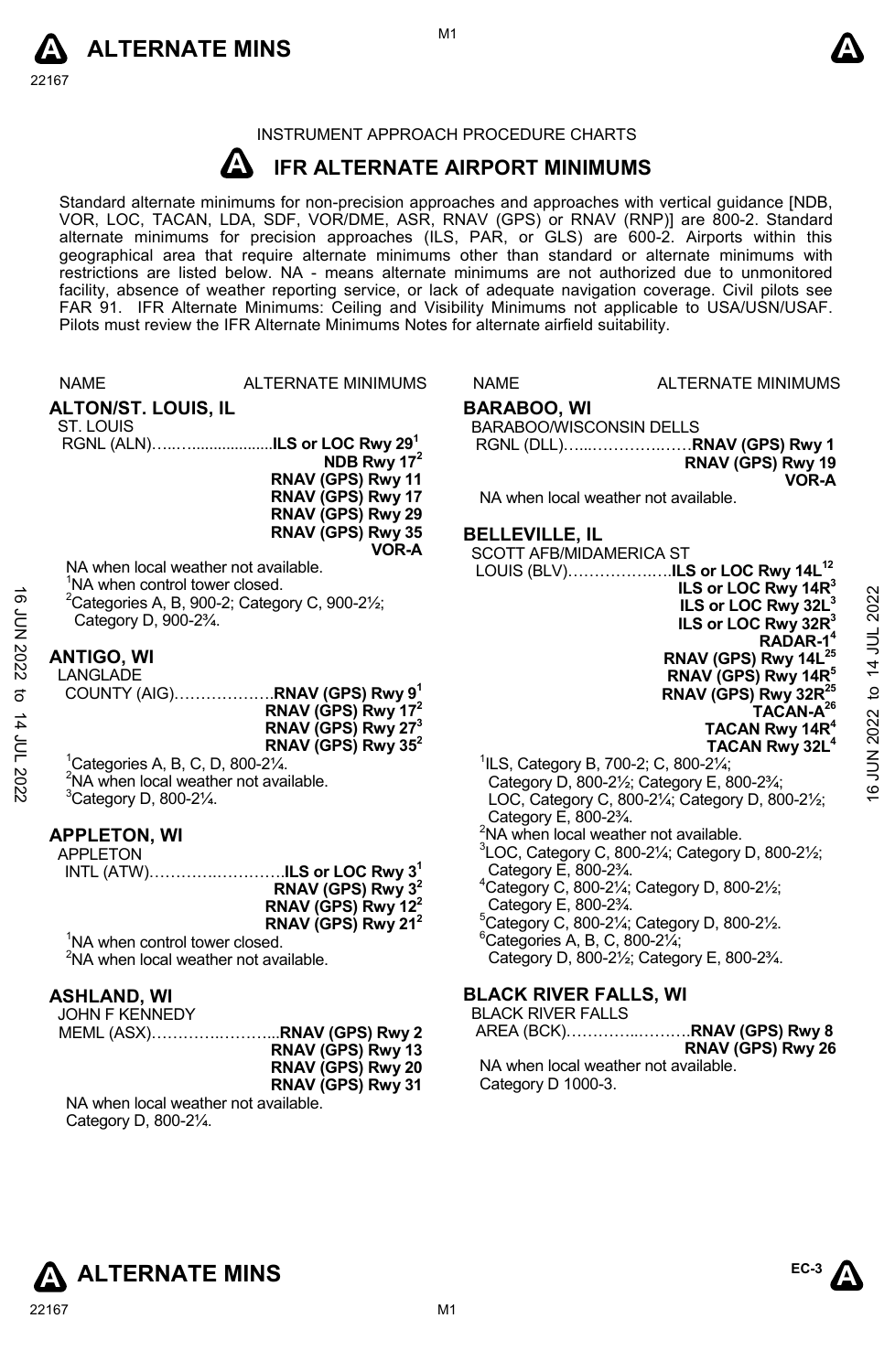



# INSTRUMENT APPROACH PROCEDURE CHARTS

#### **A IFR ALTERNATE AIRPORT MINIMUMS**

Standard alternate minimums for non-precision approaches and approaches with vertical guidance [NDB,<br>VOR, LOC, TACAN, LDA, SDF, VOR/DME, ASR, RNAV (GPS) or RNAV (RNP)] are 800-2. Standard alternate minimums for precision approaches (ILS, PAR, or GLS) are 600-2. Airports within this geographical area that require alternate minimums other than standard or alternate minimums with restrictions are listed below. NA - means alternate minimums are not authorized due to unmonitored facility, absence of weather reporting service, or lack of adequate navigation coverage. Civil pilots see FAR 91. IFR Alternate Minimums: Ceiling and Visibility Minimums not applicable to USA/USN/USAF. Pilots must review the IFR Alternate Minimums Notes for alternate airfield suitability.

|                                 | <b>NAME</b>                                                                                                                                                                                                                                                                                                                                                                                                                                                                                     | <b>ALTERNATE MINIMUMS</b>                                                                                                                                                                                                                                                                                                                                                                                                                                                       | <b>NAME</b>                                                                                                                                                                                                                                                                                        | <b>ALTERNATE MINIMUMS</b>                                                                                                                                                                                                                                                                                                                                                                                                                                                                                                                                                                                                                                                                                                                                                                                                                                                                                                                                                             |                                                |
|---------------------------------|-------------------------------------------------------------------------------------------------------------------------------------------------------------------------------------------------------------------------------------------------------------------------------------------------------------------------------------------------------------------------------------------------------------------------------------------------------------------------------------------------|---------------------------------------------------------------------------------------------------------------------------------------------------------------------------------------------------------------------------------------------------------------------------------------------------------------------------------------------------------------------------------------------------------------------------------------------------------------------------------|----------------------------------------------------------------------------------------------------------------------------------------------------------------------------------------------------------------------------------------------------------------------------------------------------|---------------------------------------------------------------------------------------------------------------------------------------------------------------------------------------------------------------------------------------------------------------------------------------------------------------------------------------------------------------------------------------------------------------------------------------------------------------------------------------------------------------------------------------------------------------------------------------------------------------------------------------------------------------------------------------------------------------------------------------------------------------------------------------------------------------------------------------------------------------------------------------------------------------------------------------------------------------------------------------|------------------------------------------------|
| 16 JUN 2022<br>ಕ<br>14 JUL 2022 | <b>ALTON/ST. LOUIS, IL</b><br>ST. LOUIS<br>NA when local weather not available.<br><sup>1</sup> NA when control tower closed.<br>Category D, 900-23/4.<br><b>ANTIGO, WI</b><br>LANGLADE<br><sup>1</sup> Categories A, B, C, D, 800-2 $\frac{1}{4}$ .<br><sup>2</sup> NA when local weather not available.<br>$3$ Category D, 800-2 $\frac{1}{4}$ .<br><b>APPLETON, WI</b><br><b>APPLETON</b><br><sup>1</sup> NA when control tower closed.<br><sup>2</sup> NA when local weather not available. | RGNL (ALN)ILS or LOC Rwy 29 <sup>1</sup><br>NDB Rwy 17 <sup>2</sup><br>RNAV (GPS) Rwy 11<br>RNAV (GPS) Rwy 17<br>RNAV (GPS) Rwy 29<br>RNAV (GPS) Rwy 35<br>VOR-A<br><sup>2</sup> Categories A, B, 900-2; Category C, 900-21/ <sub>2</sub> ;<br>RNAV (GPS) Rwy 17 <sup>2</sup><br>RNAV (GPS) Rwy 27 <sup>3</sup><br>RNAV (GPS) Rwy $35^2$<br>INTL (ATW)ILS or LOC Rwy 3 <sup>1</sup><br>RNAV (GPS) Rwy $3^2$<br>RNAV (GPS) Rwy 12 <sup>2</sup><br>RNAV (GPS) Rwy 21 <sup>2</sup> | <b>BARABOO, WI</b><br><b>BARABOO/WISCONSIN DELLS</b><br><b>BELLEVILLE, IL</b><br><b>SCOTT AFB/MIDAMERICA ST</b><br>Category E, 800-2 <sup>3</sup> / <sub>4</sub> .<br>Category E, 800-23/4.<br>Category E, 800-2 <sup>3</sup> / <sub>4</sub> .<br>$^{6}$ Categories A, B, C, 800-2 $\frac{1}{4}$ ; | RGNL (DLL)RNAV (GPS) Rwy 1<br>RNAV (GPS) Rwy 19<br>VOR-A<br>NA when local weather not available.<br>LOUIS (BLV)ILS or LOC Rwy 14L <sup>12</sup><br>ILS or LOC Rwy 14R <sup>3</sup><br>ILS or LOC Rwy 32L <sup>3</sup><br>ILS or LOC Rwy 32R <sup>3</sup><br>RADAR-1 <sup>4</sup><br>RNAV (GPS) Rwy 14L <sup>25</sup><br>RNAV (GPS) Rwy 14R <sup>5</sup><br>RNAV (GPS) Rwy 32R <sup>25</sup><br>TACAN-A <sup>26</sup><br>TACAN Rwy 14R <sup>4</sup><br>TACAN Rwy 32L <sup>4</sup><br><sup>1</sup> ILS, Category B, 700-2; C, 800-21/ <sub>4</sub> ;<br>Category D, 800-21/2; Category E, 800-23/4;<br>LOC, Category C, 800-21/4; Category D, 800-21/2;<br><sup>2</sup> NA when local weather not available.<br>$3$ LOC, Category C, 800-2 $\frac{1}{4}$ ; Category D, 800-2 $\frac{1}{2}$ ;<br><sup>4</sup> Category C, 800-21/ <sub>4</sub> ; Category D, 800-21/ <sub>2</sub> ;<br>${}^5$ Category C, 800-21⁄4; Category D, 800-21⁄2.<br>Category D, 800-21/2; Category E, 800-23/4. | 2022<br>14 JUL<br>þ<br>2022<br>Ę<br><u>َمِ</u> |
|                                 | <b>ASHLAND, WI</b><br><b>JOHN F KENNEDY</b><br>NA when local weather not available.<br>Category D. 800-21/4.                                                                                                                                                                                                                                                                                                                                                                                    | MEML (ASX)RNAV (GPS) Rwy 2<br>RNAV (GPS) Rwy 13<br>RNAV (GPS) Rwy 20<br>RNAV (GPS) Rwy 31                                                                                                                                                                                                                                                                                                                                                                                       | <b>BLACK RIVER FALLS, WI</b><br><b>BLACK RIVER FALLS</b><br>Category D 1000-3.                                                                                                                                                                                                                     | AREA (BCK)RNAV (GPS) Rwy 8<br>RNAV (GPS) Rwy 26<br>NA when local weather not available.                                                                                                                                                                                                                                                                                                                                                                                                                                                                                                                                                                                                                                                                                                                                                                                                                                                                                               |                                                |

# **ALTERNATE MINS**

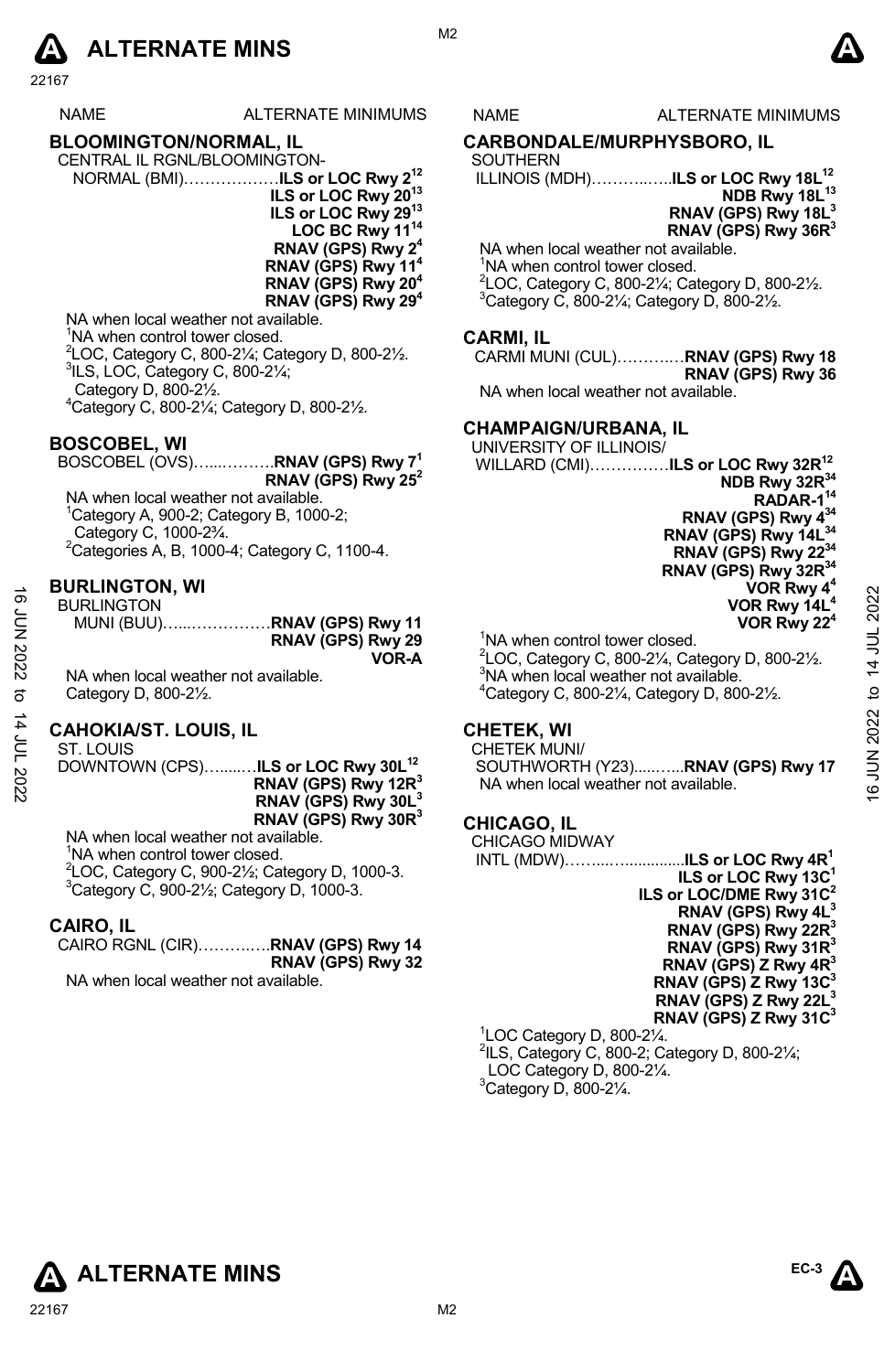

# **BLOOMINGTON/NORMAL, IL**

CENTRAL IL RGNL/BLOOMINGTON-

NORMAL (BMI)………………**ILS or LOC Rwy 212 ILS or LOC Rwy 2013 ILS or LOC Rwy 2913 LOC BC Rwy 1114 RNAV (GPS) Rwy 24 RNAV (GPS) Rwy 114 RNAV (GPS) Rwy 204 RNAV (GPS) Rwy 294** 

NA when local weather not available. <sup>1</sup>NA when control tower closed.  $^{2}$ LOC, Category C, 800-21⁄<sub>4</sub>; Category D, 800-21⁄<sub>2</sub>.<br><sup>3</sup>U.S. LOC, Category C, 800, 21⁄<sub>2</sub>.  $3$ ILS, LOC, Category C, 800-2 $\frac{1}{4}$ ; Category D, 800-21/2.

4 Category C, 800-2¼; Category D, 800-2½.

# **BOSCOBEL, WI**

BOSCOBEL (OVS)…...……….**RNAV (GPS) Rwy 71 RNAV (GPS) Rwy 252** NA when local weather not available. 1 Category A, 900-2; Category B, 1000-2; Category C, 1000-2¾.

 $2$ Categories A, B, 1000-4; Category C, 1100-4.

# **BURLINGTON, WI**

BURLINGTON MUNI (BUU)…...……………**RNAV (GPS) Rwy 11 RNAV (GPS) Rwy 29 VOR-A**

NA when local weather not available. Category D, 800-2½.

#### **CAHOKIA/ST. LOUIS, IL**

ST. LOUIS DOWNTOWN (CPS)….....…**ILS or LOC Rwy 30L12 RNAV (GPS) Rwy 12R3 RNAV (GPS) Rwy 30L3 RNAV (GPS) Rwy 30R3**  16 JUN 2022 to 14 JUL 202216 JUN 2022 to 14 JUL 2022

NA when local weather not available.

<sup>1</sup>NA when control tower closed.

<sup>2</sup>LOC, Category C, 900-2½; Category D, 1000-3.<br><sup>3</sup>Category C, 900, 31/: Category D, 1000, 3  $3$ Category C, 900-2 $\frac{1}{2}$ ; Category D, 1000-3.

# **CAIRO, IL**

| CAIRO RGNL (CIR) <b>RNAV (GPS) Rwy 14</b>                  |                   |
|------------------------------------------------------------|-------------------|
|                                                            | RNAV (GPS) Rwy 32 |
| A LA code e de la elección este en la esta el este televid |                   |

NA when local weather not available.

M<sub>2</sub>

# S NAME ALTERNATE MINIMUMS

# **CARBONDALE/MURPHYSBORO, IL**

SOUTHERN ILLINOIS (MDH)………..…..**ILS or LOC Rwy 18L12** 

**NDB Rwy 18L13** 

**RNAV (GPS) Rwy 18L3 RNAV (GPS) Rwy 36R3** 

NA when local weather not available.

<sup>1</sup>NA when control tower closed. <sup>2</sup>LOC, Category C, 800-2¼; Category D, 800-2½.<br><sup>3</sup>Category C, 800, 21/: Category D, 800, 21/  $3$ Category C, 800-21⁄<sub>4</sub>; Category D, 800-21⁄<sub>2</sub>.

#### **CARMI, IL**

CARMI MUNI (CUL)……….…**RNAV (GPS) Rwy 18 RNAV (GPS) Rwy 36** 

NA when local weather not available.

#### **CHAMPAIGN/URBANA, IL**

UNIVERSITY OF ILLINOIS/ WILLARD (CMI)……………**ILS or LOC Rwy 32R12**

**NDB Rwy 32R34 RADAR-114 RNAV (GPS) Rwy 434 RNAV (GPS) Rwy 14L34 RNAV (GPS) Rwy 2234 RNAV (GPS) Rwy 32R34 VOR Rwy 44**

**VOR Rwy 14L4 VOR Rwy 224**

<sup>1</sup>NA when control tower closed.  $^{2}$ LOC, Category C, 800-2¼, Category D, 800-2½.<br> $^{3}$ NA when local westber not available.  $3$ NA when local weather not available.

4 Category C, 800-2¼, Category D, 800-2½.

# **CHETEK, WI**

CHETEK MUNI/

 SOUTHWORTH (Y23).....…...**RNAV (GPS) Rwy 17** NA when local weather not available.

#### **CHICAGO, IL**

| CHICAGO MIDWAY |  |
|----------------|--|
|                |  |

| INTL (MDW)ILS or LOC Rwy 4R <sup>1</sup> |  |  |  |                                    |
|------------------------------------------|--|--|--|------------------------------------|
|                                          |  |  |  | $II$ S or LOC Pwy 13C <sup>1</sup> |

**ILS or LOC Rwy 13C1 ILS or LOC/DME Rwy 31C<sup>2</sup> RNAV (GPS) Rwy 4L3 RNAV (GPS) Rwy 22R3 RNAV (GPS) Rwy 31R3 RNAV (GPS) Z Rwy 4R3 RNAV (GPS) Z Rwy 13C3 RNAV (GPS) Z Rwy 22L3 RNAV (GPS) Z Rwy 31C3** 

LOC Category D, 800-2 $\frac{1}{4}$ . ILS, Category C, 800-2; Category D, 800-2¼; LOC Category D, 800-2¼. Category D, 800-2 $\frac{1}{4}$ .



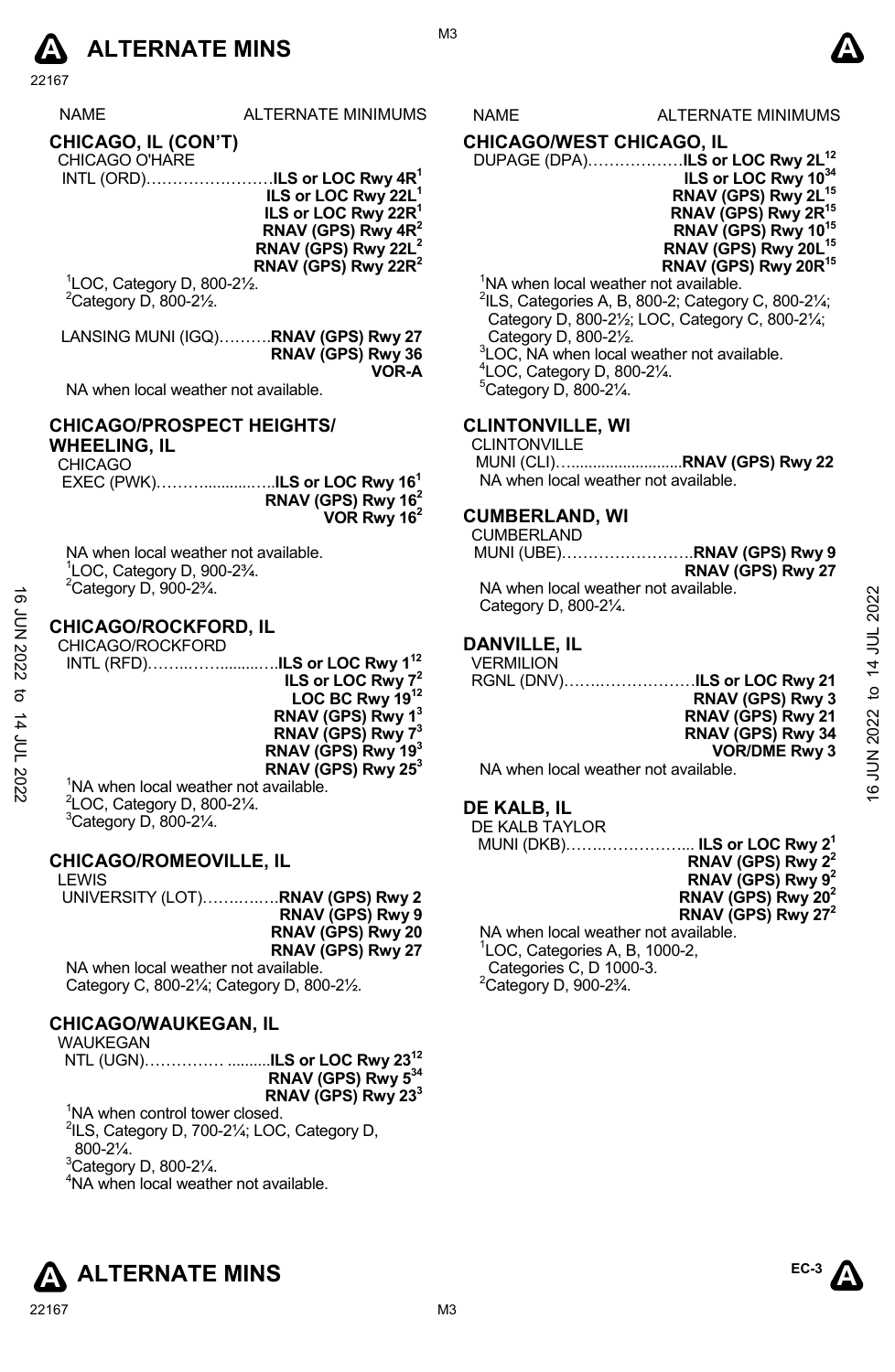# **A** ALTERNATE MINS  $\bullet$

22167

| <b>NAMF</b>                                                                                                                  | <b>ALTERNATE MINIMUMS</b>                                                                                                                                                                                                     |
|------------------------------------------------------------------------------------------------------------------------------|-------------------------------------------------------------------------------------------------------------------------------------------------------------------------------------------------------------------------------|
| CHICAGO, IL (CON'T)<br>CHICAGO O'HARF<br>$1$ LOC, Category D, 800-2 $\frac{1}{2}$ .<br>$2$ Category D. 800-2 $\frac{1}{2}$ . | INTL (ORD) <b>ILS or LOC Rwy 4R<sup>1</sup></b><br>ILS or LOC Rwy 22L <sup>1</sup><br>ILS or LOC Rwy 22R <sup>1</sup><br>RNAV (GPS) Rwy 4R <sup>2</sup><br>RNAV (GPS) Rwy 22L <sup>2</sup><br>RNAV (GPS) Rwy 22R <sup>2</sup> |
|                                                                                                                              | LANSING MUNI (IGQ)RNAV (GPS) Rwy 27<br>RNAV (GPS) Rwy 36<br>VOR-A                                                                                                                                                             |

NA when local weather not available.

# **CHICAGO/PROSPECT HEIGHTS/ WHEELING, IL**

| <b>CHICAGO</b> |                                |
|----------------|--------------------------------|
|                |                                |
|                | RNAV (GPS) Rwy 16 <sup>2</sup> |
|                | VOR Rwy $162$                  |

NA when local weather not available. 1 LOC, Category D, 900-2¾.  $2$ Category D, 900-2 $\frac{3}{4}$ .

#### **CHICAGO/ROCKFORD, IL**

| ಹೆ     | Calegory D. $900-Z74$ .              | <u>INA WHEH JOCAL WEALHEL HOUR VAILABLE.</u><br>Category D, 800-21/4. | 2022            |
|--------|--------------------------------------|-----------------------------------------------------------------------|-----------------|
| ξ<br>Σ | <b>CHICAGO/ROCKFORD, IL</b>          |                                                                       |                 |
|        | CHICAGO/ROCKFORD                     | <b>DANVILLE. IL</b>                                                   |                 |
| 2022   |                                      | <b>VERMILION</b>                                                      | $\frac{4}{1}$   |
|        | ILS or LOC Rwy $7^2$                 | RGNL (DNV)ILS or LOC Rwy 21                                           |                 |
| ನ      | LOC BC Rwy $19^{12}$                 | <b>RNAV (GPS) Rwy 3</b>                                               | ٩,              |
| 4      | RNAV (GPS) Rwy 1 <sup>3</sup>        | RNAV (GPS) Rwy 21                                                     |                 |
|        | RNAV (GPS) Rwy 7 <sup>3</sup>        | RNAV (GPS) Rwy 34                                                     |                 |
| Ξ      | RNAV (GPS) Rwy 19 <sup>3</sup>       | <b>VOR/DME Rwy 3</b>                                                  |                 |
|        | RNAV (GPS) Rwy 25 <sup>3</sup>       | NA when local weather not available.                                  | <b>JUN 2022</b> |
| 2022   | NA when local weather not available. |                                                                       | 9               |
|        | $2100$ Catagory D, 800 21/           | <b>BEIZALBU</b>                                                       |                 |

LOC, Category D, 800-2¼. 3 Category D, 800-2¼.

#### **CHICAGO/ROMEOVILLE, IL**   $L$ EVALIC

| UNIVERSITY (LOT)RNAV (GPS) Rwy 2                                      |
|-----------------------------------------------------------------------|
| RNAV (GPS) Rwy 9                                                      |
| RNAV (GPS) Rwy 20                                                     |
| RNAV (GPS) Rwy 27                                                     |
| NA when local weather not available.                                  |
| Category C, 800-21/ <sub>4</sub> ; Category D, 800-21/ <sub>2</sub> . |
|                                                                       |

#### **CHICAGO/WAUKEGAN, IL**

| WAUKEGAN                                   |                                          |
|--------------------------------------------|------------------------------------------|
|                                            | NTL (UGN)ILS or LOC Rwy 23 <sup>12</sup> |
|                                            | RNAV (GPS) Rwy 5 <sup>34</sup>           |
|                                            | RNAV (GPS) Rwy 23 <sup>3</sup>           |
| <sup>1</sup> NA when control tower closed. |                                          |

<sup>2</sup>ILS, Category D, 700-21/<sub>4</sub>; LOC, Category D, 800-2¼.

 $3$ Category D, 800-2 $\frac{1}{4}$ .

4 NA when local weather not available.

# NAME ALTERNATE MINIMUMS

#### **CHICAGO/WEST CHICAGO, IL**

DUPAGE (DPA)………………**ILS or LOC Rwy 2L12** 

- **ILS or LOC Rwy 1034 RNAV (GPS) Rwy 2L15 RNAV (GPS) Rwy 2R15 RNAV (GPS) Rwy 1015 RNAV (GPS) Rwy 20L15 RNAV (GPS) Rwy 20R15**
- <sup>1</sup>NA when local weather not available.  $2$ ILS, Categories A, B, 800-2; Category C, 800-2 $\frac{1}{4}$ ; Category D, 800-2½; LOC, Category C, 800-2¼; Category D, 800-2½.  ${}^{3}$ LOC, NA when local weather not available. 4 LOC, Category D, 800-2¼. 5 Category D, 800-2¼.

#### **CLINTONVILLE, WI**

CLINTONVILLE MUNI (CLI)…..........................**RNAV (GPS) Rwy 22**  NA when local weather not available.

#### **CUMBERLAND, WI**

CUMBERLAND<br>MUNI (UBE).... **DNAV (CDS) Rwy 9** 

|  |  |  | ль⊏)………………………кмаv (GFS) кwy э |
|--|--|--|-------------------------------|
|  |  |  | RNAV (GPS) Rwy 27             |
|  |  |  |                               |

NA when local weather not available. Category D, 800-2¼.

#### **DANVILLE, IL**

| <b>VERMILION</b>                     |                             |
|--------------------------------------|-----------------------------|
|                                      | RGNL (DNV)ILS or LOC Rwy 21 |
|                                      | RNAV (GPS) Rwy 3            |
|                                      | RNAV (GPS) Rwy 21           |
|                                      | RNAV (GPS) Rwy 34           |
|                                      | <b>VOR/DME Rwy 3</b>        |
| NA when local weather not available. |                             |

# **DE KALB, IL**

| DE KALB TAYLOR |  |  |
|----------------|--|--|
| $MUNI (DKB)$   |  |  |

| ILS or LOC Rwy 2 <sup>1</sup>  |
|--------------------------------|
| RNAV (GPS) Rwy 2 <sup>2</sup>  |
| RNAV (GPS) Rwy 9 <sup>2</sup>  |
| RNAV (GPS) Rwy 20 <sup>2</sup> |
| RNAV (GPS) Rwy 27 <sup>2</sup> |

NA when local weather not available. 1 LOC, Categories A, B, 1000-2, Categories C, D 1000-3.  $2$ Category D, 900-2 $\frac{3}{4}$ .









#### M3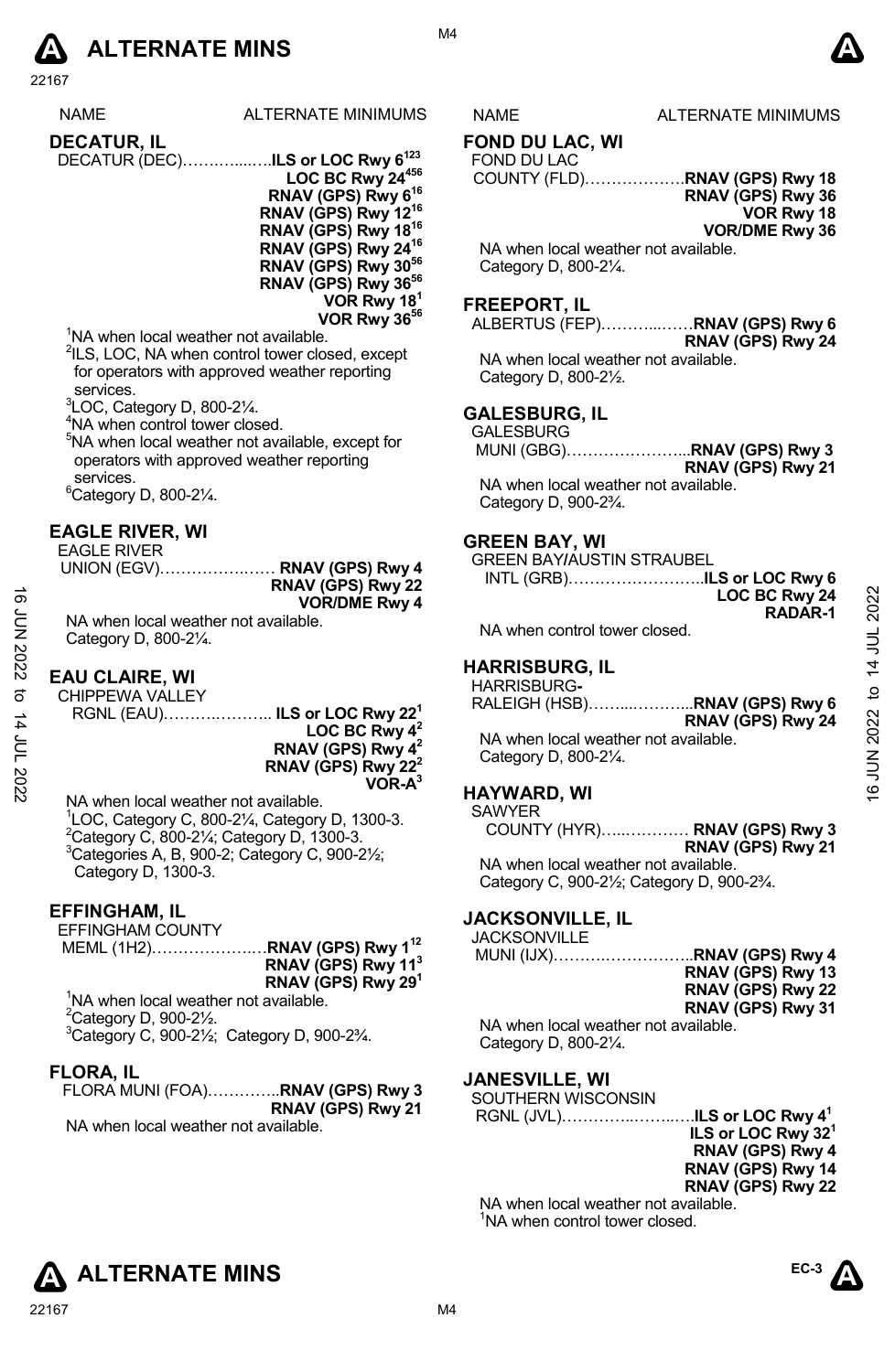

**DECATUR, IL** 

NAME ALTERNATE MINIMUMS NAME ALTERNATE MINIMUMS

DECATUR (DEC)…….…....….**ILS or LOC Rwy 6123 LOC BC Rwy 24456 RNAV (GPS) Rwy 616 RNAV (GPS) Rwy 1216 RNAV (GPS) Rwy 1816 RNAV (GPS) Rwy 2416 RNAV (GPS) Rwy 3056 RNAV (GPS) Rwy 3656 VOR Rwy 181 VOR Rwy 3656** 

<sup>1</sup>NA when local weather not available.

<sup>2</sup>ILS, LOC, NA when control tower closed, except for operators with approved weather reporting services.

 $3$ LOC, Category D, 800-2 $\frac{1}{4}$ .

4 NA when control tower closed.

5 NA when local weather not available, except for operators with approved weather reporting services.

 $6$ Category D, 800-2 $\frac{1}{4}$ .

# **EAGLE RIVER, WI**

EAGLE RIVER

UNION (EGV)…………….…… **RNAV (GPS) Rwy 4 RNAV (GPS) Rwy 22 VOR/DME Rwy 4** 

NA when local weather not available. Category D, 800-2¼.

# **EAU CLAIRE, WI**

CHIPPEWA VALLEY RGNL (EAU)……….……….. **ILS or LOC Rwy 221** 

**LOC BC Rwy 42 RNAV (GPS) Rwy 42 RNAV (GPS) Rwy 222 VOR-A3**

NA when local weather not available. <sup>1</sup>LOC, Category C, 800-2¼, Category D, 1300-3. <sup>2</sup>Category C, 800-21⁄<sub>4</sub>; Category D, 1300-3.  $3$ Categories A, B, 900-2; Category C, 900-2 $\frac{1}{2}$ ; Category D, 1300-3.

#### **EFFINGHAM, IL**

EFFINGHAM COUNTY

 MEML (1H2)……………….…**RNAV (GPS) Rwy 112 RNAV (GPS) Rwy 113 RNAV (GPS) Rwy 291** 

<sup>1</sup>NA when local weather not available.  $2^2$ Category D, 900-2 $\frac{1}{2}$ . 3 Category C, 900-2½; Category D, 900-2¾.

#### **FLORA, IL**

FLORA MUNI (FOA)…………..**RNAV (GPS) Rwy 3 RNAV (GPS) Rwy 21**  NA when local weather not available.

# **FOND DU LAC, WI**

FOND DU LAC COUNTY (FLD)……………….**RNAV (GPS) Rwy 18** 

**RNAV (GPS) Rwy 36 VOR Rwy 18** 

**VOR/DME Rwy 36** 

NA when local weather not available. Category D, 800-2¼.

#### **FREEPORT, IL**

ALBERTUS (FEP)………...……**RNAV (GPS) Rwy 6 RNAV (GPS) Rwy 24**  NA when local weather not available.

Category D, 800-2½.

#### **GALESBURG, IL**

GALESBURG

 MUNI (GBG)…………………...**RNAV (GPS) Rwy 3 RNAV (GPS) Rwy 21**  NA when local weather not available. Category D, 900-2¾.

#### **GREEN BAY, WI**

GREEN BAY**/**AUSTIN STRAUBEL

| INTL (GRB)ILS or LOC Rwy 6 |
|----------------------------|
| LOC BC Rwy 24              |
| RADAR-1                    |

NA when control tower closed.

#### **HARRISBURG, IL**

HARRISBURG**-**RALEIGH (HSB)……...………...**RNAV (GPS) Rwy 6 RNAV (GPS) Rwy 24**  NA when local weather not available. Category D, 800-2¼. 16<br>
NA when local weather not available.<br>
Category D, 800-2¼.<br>
NA when control tower closed.<br>
NA when control tower closed.<br>
NA when control tower closed.<br>
NA when control tower closed.<br>
EAU CLAIRE, WI<br>
CHIPPEWA VALLEY<br>

#### **HAYWARD, WI**

SAWYER

COUNTY (HYR)…..………… **RNAV (GPS) Rwy 3 RNAV (GPS) Rwy 21**

NA when local weather not available. Category C, 900-2½; Category D, 900-2¾.

# **JACKSONVILLE, IL**

**JACKSONVILLE** MUNI (IJX)……….……………..**RNAV (GPS) Rwy 4 RNAV (GPS) Rwy 13 RNAV (GPS) Rwy 22 RNAV (GPS) Rwy 31**  NA when local weather not available.

Category D, 800-2¼.

**JANESVILLE, WI**  SOUTHERN WISCONSIN

|         |  | SOUTHERN WISCONSIN |
|---------|--|--------------------|
| $- - -$ |  |                    |

 RGNL (JVL)…………..……..….**ILS or LOC Rwy 41 ILS or LOC Rwy 321 RNAV (GPS) Rwy 4 RNAV (GPS) Rwy 14 RNAV (GPS) Rwy 22** 

NA when local weather not available. <sup>1</sup>NA when control tower closed.





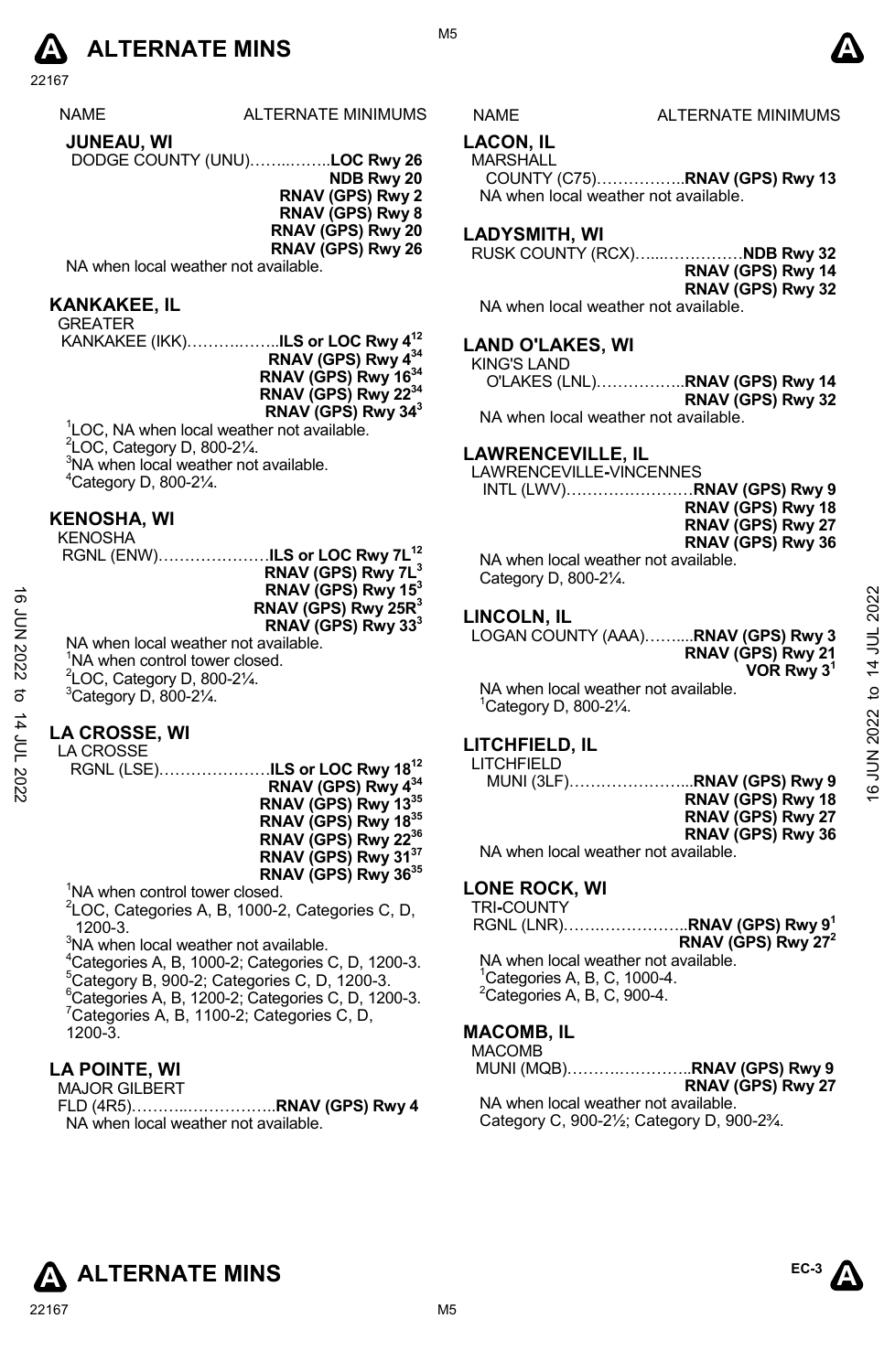

|  |  | r |
|--|--|---|

| ALTERNATE MINIMUMS<br>NAME<br>ALTERNATE MINIMUMS<br><b>NAME</b> |  |
|-----------------------------------------------------------------|--|
|                                                                 |  |

DODGE COUNTY (UNU)……..……..**LOC Rwy 26** 

**NDB Rwy 20 RNAV (GPS) Rwy 2 RNAV (GPS) Rwy 8 RNAV (GPS) Rwy 20 RNAV (GPS) Rwy 26** 

NA when local weather not available.

#### **KANKAKEE, IL**

GREATER KANKAKEE (IKK)……….……..**ILS or LOC Rwy 412 RNAV (GPS) Rwy 434 RNAV (GPS) Rwy 16 RNAV (GPS) Rwy 2234 RNAV (GPS) Rwy 343** 

1 LOC, NA when local weather not available.

 $2$ LOC, Category D, 800-2 $\frac{1}{4}$ .

<sup>3</sup>NA when local weather not available. 4 Category D, 800-2¼.

# **KENOSHA, WI**

KENOSHA

RGNL (ENW)…………………**ILS or LOC Rwy 7L12 RNAV (GPS) Rwy 7L3 RNAV (GPS) Rwy 153 RNAV (GPS) Rwy 25R3 RNAV (GPS) Rwy 333** 

NA when local weather not available. <sup>1</sup>NA when control tower closed.  $2$ LOC, Category D, 800-2 $\frac{1}{4}$ .  $3$ Category D, 800-2 $\frac{1}{4}$ .  $\frac{1}{2}$ <br>  $\frac{1}{2}$ <br>
NA when local weather not available.<br>
NA when colal weather not available.<br>
NA when control tower closed.<br>
<sup>2</sup>LOC, Category D, 800-2¼.<br>
<sup>2</sup>LOC, Category D, 800-2¼.<br>
<br> **14 A Men local weather not avai** 

# **LA CROSSE, WI**

LA CROSSE

RGNL (LSE)…………………**ILS or LOC Rwy 1812 RNAV (GPS) Rwy 434 RNAV (GPS) Rwy 1335 RNAV (GPS) Rwy 1835 RNAV (GPS) Rwy 2236 RNAV (GPS) Rwy 3137 RNAV (GPS) Rwy 3635** 

<sup>1</sup>NA when control tower closed.

 $2$ LOC, Categories A, B, 1000-2, Categories C, D, 1200-3.

 $3$ NA when local weather not available.

 $^{4}$ Categories A, B, 1000-2; Categories C, D, 1200-3. <sup>5</sup>Category B, 900-2; Categories C, D, 1200-3.  $6C$ ategories A, B, 1200-2; Categories C, D, 1200-3. Categories A, B, 1100-2; Categories C, D, 1200-3.

# **LA POINTE, WI**

MAJOR GILBERT

FLD (4R5)………..……………..**RNAV (GPS) Rwy 4**  NA when local weather not available.

## **LACON, IL**

#### **MARSHALL**

COUNTY (C75)……………..**RNAV (GPS) Rwy 13**  NA when local weather not available.

#### **LADYSMITH, WI**

RUSK COUNTY (RCX)…...……………**NDB Rwy 32** 

#### **RNAV (GPS) Rwy 14 RNAV (GPS) Rwy 32**

NA when local weather not available.

# **LAND O'LAKES, WI**

| KING'S LAND |                   |
|-------------|-------------------|
|             |                   |
|             | RNAV (GPS) Rwy 32 |
|             |                   |

NA when local weather not available.

#### **LAWRENCEVILLE, IL**

LAWRENCEVILLE**-**VINCENNES **INTL (LWV)……** 

| RNAV (GPS) Rwy 9    |
|---------------------|
| RNAV (GPS) Rwy 18   |
| RNAV (GPS) Rwy 27   |
| RNAV (GPS) Rwy 36   |
| athor not quailablo |

NA when local weather not available. Category D, 800-2¼.

# **LINCOLN, IL**

LOGAN COUNTY (AAA)……....**RNAV (GPS) Rwy 3 RNAV (GPS) Rwy 21 VOR Rwy 31** 

NA when local weather not available. 1 Category D, 800-2¼.

#### **LITCHFIELD, IL**   $\mathsf{L}\mathsf{L}$

| ITCHFIELD                            |                   |
|--------------------------------------|-------------------|
|                                      |                   |
|                                      | RNAV (GPS) Rwy 18 |
|                                      | RNAV (GPS) Rwy 27 |
|                                      | RNAV (GPS) Rwy 36 |
| NA when local weather not available. |                   |

# **LONE ROCK, WI**

TRI**-**COUNTY RGNL (LNR)…….……………..**RNAV (GPS) Rwy 91**

**RNAV (GPS) Rwy 272** NA when local weather not available.

<sup>1</sup>Categories A, B, C, 1000-4.<br><sup>2</sup>Categories A, B, C, 900-4.

# **MACOMB, IL**

MACOMB MUNI (MQB)……….…………..**RNAV (GPS) Rwy 9** 

# **RNAV (GPS) Rwy 27**

NA when local weather not available. Category C, 900-2½; Category D, 900-2¾.



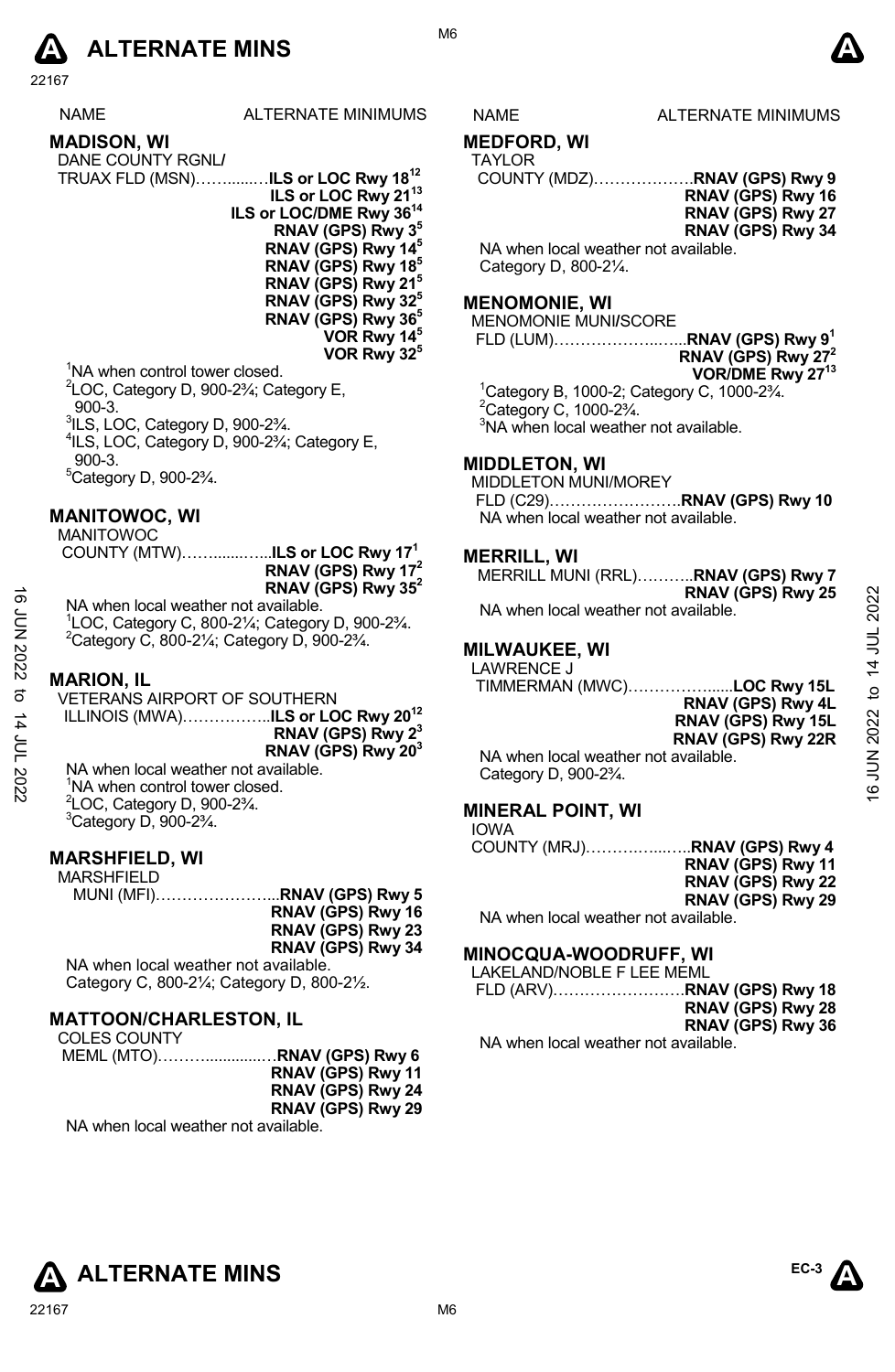

| <b>NAME</b>                                                                                  | ALTERNATE MINIMUMS                                                                                                                                                                                                                                                                                                                                                            |
|----------------------------------------------------------------------------------------------|-------------------------------------------------------------------------------------------------------------------------------------------------------------------------------------------------------------------------------------------------------------------------------------------------------------------------------------------------------------------------------|
| MADISON, WI<br><b>DANE COUNTY RGNL/</b>                                                      | TRUAX FLD (MSN)ILS or LOC Rwy 1812<br>ILS or LOC Rwy 21 <sup>13</sup><br>ILS or LOC/DME Rwy 36 <sup>14</sup><br>RNAV (GPS) Rwy 3 <sup>5</sup><br>RNAV (GPS) Rwy 14 <sup>5</sup><br>RNAV (GPS) Rwy 18 <sup>5</sup><br>RNAV (GPS) Rwy 21 <sup>5</sup><br>RNAV (GPS) Rwy 32 <sup>5</sup><br>RNAV (GPS) Rwy 36 <sup>5</sup><br>VOR Rwy 14 <sup>5</sup><br>VOR Rwy 32 <sup>5</sup> |
| <sup>1</sup> NA when control tower closed.                                                   |                                                                                                                                                                                                                                                                                                                                                                               |
| <sup>2</sup> LOC, Category D, 900-2 <sup>3</sup> / <sub>4</sub> ; Category E,<br>$900 - 3$ . |                                                                                                                                                                                                                                                                                                                                                                               |
| <sup>3</sup> ILS, LOC, Category D, 900-2 <sup>3</sup> / <sub>4</sub> .                       |                                                                                                                                                                                                                                                                                                                                                                               |
|                                                                                              |                                                                                                                                                                                                                                                                                                                                                                               |

4 ILS, LOC, Category D, 900-2¾; Category E, 900-3. 5 Category D, 900-2¾.

# **MANITOWOC, WI**

MANITOWOC COUNTY (MTW)…….......…...**ILS or LOC Rwy 171 RNAV (GPS) Rwy 172** 

**RNAV (GPS) Rwy 352**  NA when local weather not available. <sup>1</sup>LOC, Category C, 800-2¼; Category D, 900-2¾.<br><sup>2</sup>Category C, 800, 21/: Category D, 900, 2<sup>3</sup>/ Category C, 800-2¼; Category D, 900-2¾.

# **MARION, IL**

VETERANS AIRPORT OF SOUTHERN ILLINOIS (MWA)……………..**ILS or LOC Rwy 2012 RNAV (GPS) Rwy 23 RNAV (GPS) Rwy 203**  NA when local weather not available. 16 JUN 2022 to 14 JUL 202216 JUN 2022 to 14 JUL 2022

<sup>1</sup>NA when control tower closed.  $2$ LOC, Category D, 900-2 $\frac{3}{4}$ .

 $3$ Category D, 900-2 $\frac{3}{4}$ .

#### **MARSHFIELD, WI**

MARSHFIELD MUNI (MFI)…………………...**RNAV (GPS) Rwy 5 RNAV (GPS) Rwy 16 RNAV (GPS) Rwy 23**

**RNAV (GPS) Rwy 34** NA when local weather not available.

Category C, 800-2¼; Category D, 800-2½.

#### **MATTOON/CHARLESTON, IL**

| COLES COUNTY                        |                            |
|-------------------------------------|----------------------------|
|                                     | MEML (MTO)RNAV (GPS) Rwy 6 |
|                                     | RNAV (GPS) Rwy 11          |
|                                     | RNAV (GPS) Rwy 24          |
|                                     | RNAV (GPS) Rwy 29          |
| NA when local weather not available |                            |

NA when local weather not available.

S NAME ALTERNATE MINIMUMS

M6

**MEDFORD, WI** 

# TAYLOR

COUNTY (MDZ)……………….**RNAV (GPS) Rwy 9**

**RNAV (GPS) Rwy 16 RNAV (GPS) Rwy 27 RNAV (GPS) Rwy 34** 

NA when local weather not available. Category D, 800-2¼.

# **MENOMONIE, WI**

MENOMONIE MUNI**/**SCORE

 FLD (LUM)………………..…...**RNAV (GPS) Rwy 91 RNAV (GPS) Rwy 272 VOR/DME Rwy 2713** 

1 Category B, 1000-2; Category C, 1000-2¾.  $2^2$ Category C, 1000-2 $\frac{3}{4}$ .

<sup>3</sup>NA when local weather not available.

# **MIDDLETON, WI**

MIDDLETON MUNI/MOREY FLD (C29)…………………….**RNAV (GPS) Rwy 10**  NA when local weather not available.

#### **MERRILL, WI**

MERRILL MUNI (RRL)………..**RNAV (GPS) Rwy 7 RNAV (GPS) Rwy 25**  NA when local weather not available.

# **MILWAUKEE, WI**

LAWRENCE J

 TIMMERMAN (MWC)……………......**LOC Rwy 15L RNAV (GPS) Rwy 4L RNAV (GPS) Rwy 15L RNAV (GPS) Rwy 22R** 

NA when local weather not available. Category D, 900-2¾.

# **MINERAL POINT, WI**

| <b>IOWA</b>                          |                   |
|--------------------------------------|-------------------|
|                                      |                   |
|                                      | RNAV (GPS) Rwy 11 |
|                                      | RNAV (GPS) Rwy 22 |
|                                      | RNAV (GPS) Rwy 29 |
| NA when local weather not available. |                   |

# **MINOCQUA-WOODRUFF, WI**

LAKELAND/NOBLE F LEE MEML FLD (ARV)…………………….**RNAV (GPS) Rwy 18** 

**RNAV (GPS) Rwy 28 RNAV (GPS) Rwy 36** 

NA when local weather not available.



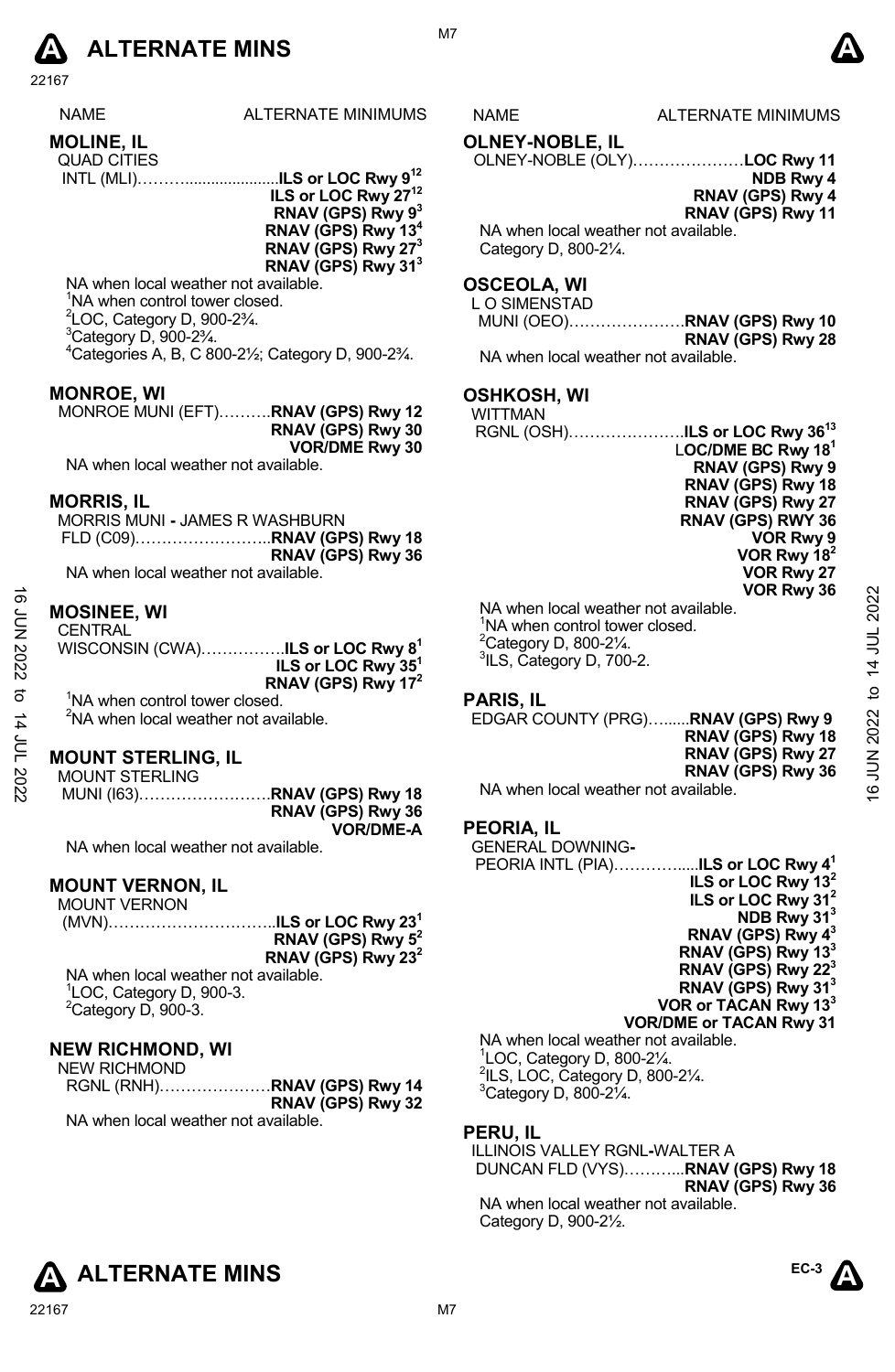

| <b>NAMF</b>       | ALTERNATE MINIMU |
|-------------------|------------------|
| <b>MOLINE, IL</b> |                  |

# **MOLINE, IL**  QUAD CITIES

|--|--|--|--|

IC Rwy 9<sup>12</sup> **ILS or LOC Rwy 2712 RNAV (GPS) Rwy 93 RNAV (GPS) Rwy 134 RNAV (GPS) Rwy 273 RNAV (GPS) Rwy 313**

NA when local weather not available.

<sup>1</sup>NA when control tower closed.

 $2$ LOC, Category D, 900-2 $\frac{3}{4}$ .

 $3$ Category D, 900-2 $\frac{3}{4}$ .

4 Categories A, B, C 800-2½; Category D, 900-2¾.

# **MONROE, WI**

| MONROE MUNI (EFT)RNAV (GPS) Rwy 12 |                       |
|------------------------------------|-----------------------|
|                                    | RNAV (GPS) Rwy 30     |
|                                    | <b>VOR/DME Rwy 30</b> |

NA when local weather not available.

#### **MORRIS, IL**

MORRIS MUNI **-** JAMES R WASHBURN FLD (C09)……………………..**RNAV (GPS) Rwy 18 RNAV (GPS) Rwy 36**  NA when local weather not available

# **MOSINEE, WI**

**CENTRAL** 

WISCONSIN (CWA)…………….**ILS or LOC Rwy 81 ILS or LOC Rwy 351 RNAV (GPS) Rwy 172**  <sup>1</sup>NA when control tower closed. <sup>2</sup>NA when local weather not available. 16 JUN 2022 to 14 JUL 202216 JUN 2022 to 14 JUL 2022

# **MOUNT STERLING, IL**

MOUNT STERLING MUNI (I63)…………………….**RNAV (GPS) Rwy 18 RNAV (GPS) Rwy 36 VOR/DME-A** 

NA when local weather not available.

# **MOUNT VERNON, IL**

MOUNT VERNON (MVN)…………………………..**ILS or LOC Rwy 231 RNAV (GPS) Rwy 52 RNAV (GPS) Rwy 232** NA when local weather not available. 1 LOC, Category D, 900-3.  $\mathrm{^{2}C}$ ategory D, 900-3.

#### **NEW RICHMOND, WI**

| NEW RICHMOND                        |                   |
|-------------------------------------|-------------------|
| RGNL (RNH)RNAV (GPS) Rwy 14         |                   |
|                                     | RNAV (GPS) Rwy 32 |
| NA when local weather not available |                   |

# IMS NAME ALTERNATE MINIMUMS

# **OLNEY-NOBLE, IL**

OLNEY-NOBLE (OLY)…………………**LOC Rwy 11 NDB Rwy 4** 

**RNAV (GPS) Rwy 4 RNAV (GPS) Rwy 11**

NA when local weather not available. Category D, 800-2¼.

# **OSCEOLA, WI**

L O SIMENSTAD MUNI (OEO)………………….**RNAV (GPS) Rwy 10 RNAV (GPS) Rwy 28**  NA when local weather not available.

# **OSHKOSH, WI**

| WITTMAN                                                              |
|----------------------------------------------------------------------|
| RGNL (OSH)ILS or LOC Rwy 36 <sup>13</sup>                            |
| LOC/DME BC Rwy $181$                                                 |
| RNAV (GPS) Rwy 9                                                     |
| RNAV (GPS) Rwy 18                                                    |
| RNAV (GPS) Rwy 27                                                    |
| RNAV (GPS) RWY 36                                                    |
| VOR Rwy 9                                                            |
| VOR Rwy $182$                                                        |
| VOR Rwy 27                                                           |
| VOR Rwy 36                                                           |
| NA when local weather not available.<br>NA when control tower closed |

<sup>1</sup>NA when control tower closed.<br><sup>2</sup>Category D, 800-2¼. <sup>3</sup>ILS, Category D, 700-2.

#### **PARIS, IL**

EDGAR COUNTY (PRG)…......**RNAV (GPS) Rwy 9 RNAV (GPS) Rwy 18**

NA when local weather not available.

# **PEORIA, IL**

| <b>GENERAL DOWNING-</b>              |                                |
|--------------------------------------|--------------------------------|
| PEORIA INTL (PIA)                    | ILS or LOC Rwy $4^1$           |
|                                      | ILS or LOC Rwy 13 <sup>2</sup> |
|                                      | ILS or LOC Rwy 31 <sup>2</sup> |
|                                      | NDB Rwy 31 <sup>3</sup>        |
|                                      | RNAV (GPS) Rwy 4 <sup>3</sup>  |
|                                      | RNAV (GPS) Rwy 13 <sup>3</sup> |
|                                      | RNAV (GPS) Rwy $22^3$          |
|                                      | RNAV (GPS) Rwy 31 <sup>3</sup> |
|                                      | VOR or TACAN Rwy 133           |
|                                      | <b>VOR/DME or TACAN Rwy 31</b> |
| NA when local weather not available. |                                |
|                                      |                                |

1 LOC, Category D, 800-2¼.  $2$ ILS, LOC, Category D, 800-2 $\frac{1}{2}$ .  $3$ Category D, 800-2 $\frac{1}{4}$ .

# **PERU, IL**

ILLINOIS VALLEY RGNL**-**WALTER A DUNCAN FLD (VYS)………...**RNAV (GPS) Rwy 18 RNAV (GPS) Rwy 36**  NA when local weather not available. Category D, 900-2½.



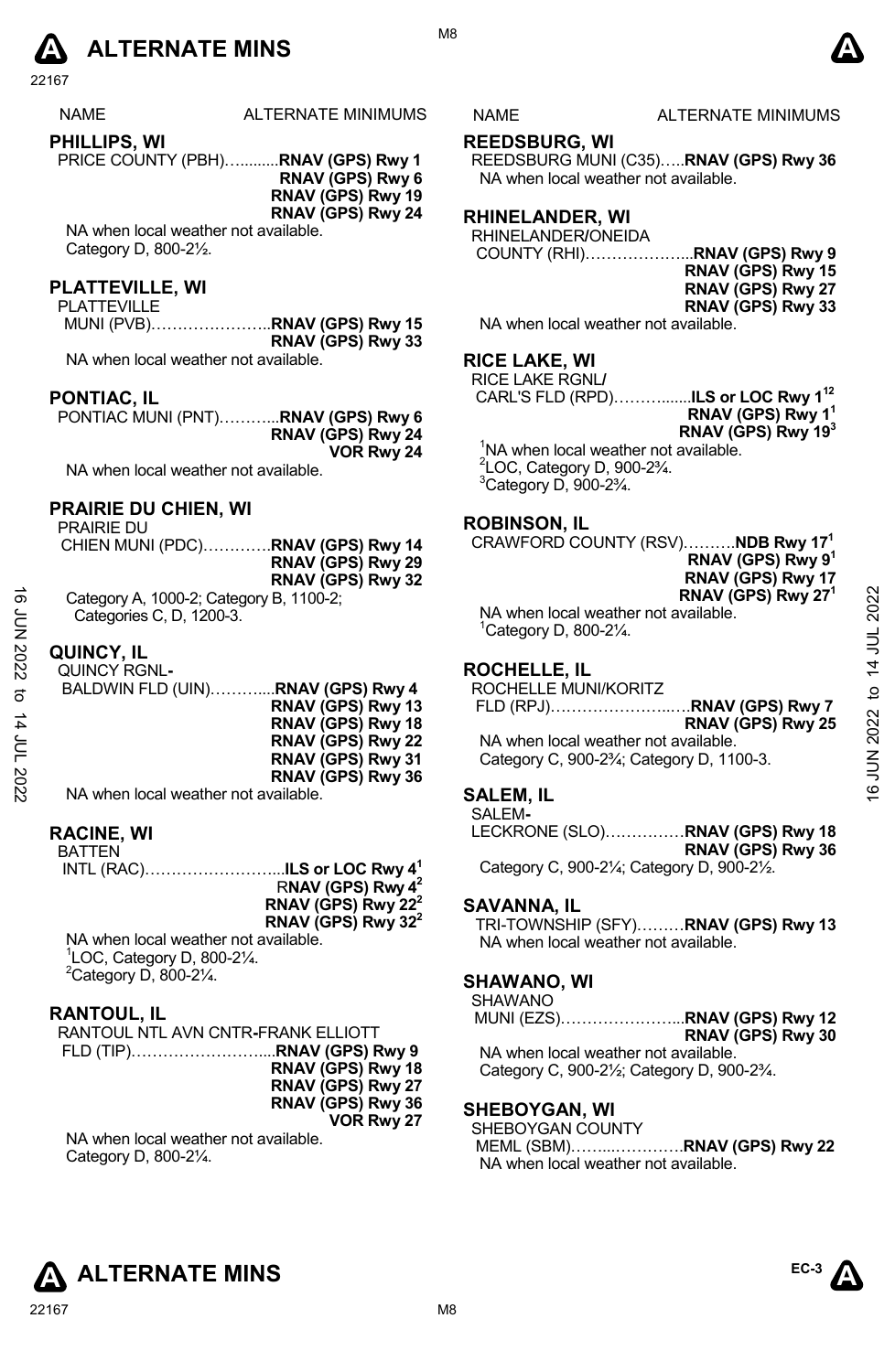

NAME ALTERNATE MINIMUMS NAME ALTERNATE MINIMUMS

#### **PHILLIPS, WI**

PRICE COUNTY (PBH)….........**RNAV (GPS) Rwy 1**

**RNAV (GPS) Rwy 6 RNAV (GPS) Rwy 19**

**RNAV (GPS) Rwy 24** NA when local weather not available. Category D, 800-2½.

#### **PLATTEVILLE, WI**

PLATTEVILLE MUNI (PVB)…………………..**RNAV (GPS) Rwy 15 RNAV (GPS) Rwy 33** 

NA when local weather not available.

#### **PONTIAC, IL**

PONTIAC MUNI (PNT)………...**RNAV (GPS) Rwy 6 RNAV (GPS) Rwy 24 VOR Rwy 24** 

NA when local weather not available.

# **PRAIRIE DU CHIEN, WI**

PRAIRIE DU CHIEN MUNI (PDC)………….**RNAV (GPS) Rwy 14 RNAV (GPS) Rwy 29 RNAV (GPS) Rwy 32** 

#### **QUINCY, IL**

| ಹೆ     | Category A, 1000-2; Category B, 1100-2; | RNAV (GPS) Rwy 27 <sup>1</sup>                                      | 2022           |
|--------|-----------------------------------------|---------------------------------------------------------------------|----------------|
|        | Categories C, D, 1200-3.                | NA when local weather not available.                                |                |
| ξ<br>Σ |                                         | Category D, 800-21/4.                                               |                |
|        | QUINCY, IL                              |                                                                     |                |
| 2022   | QUINCY RGNL-                            | <b>ROCHELLE. IL</b>                                                 | $\overline{4}$ |
| ನ      | BALDWIN FLD (UIN)RNAV (GPS) Rwy 4       | ROCHELLE MUNI/KORITZ                                                | $\mathsf{D}$   |
|        | RNAV (GPS) Rwy 13                       | FLD (RPJ)RNAV (GPS) Rwy 7                                           |                |
| 4      | RNAV (GPS) Rwy 18                       | RNAV (GPS) Rwy 25                                                   | 2022           |
| ξ      | RNAV (GPS) Rwy 22                       | NA when local weather not available.                                |                |
|        | RNAV (GPS) Rwy 31                       | Category C, 900-2 <sup>3</sup> / <sub>4</sub> ; Category D, 1100-3. | z              |
| 2022   | RNAV (GPS) Rwy 36                       |                                                                     |                |
|        | NA when local weather not available.    | <b>SALEM. IL</b>                                                    | ဖ              |

**RACINE, WI** 

# BATTEN

INTL (RAC)……………………...**ILS or LOC Rwy 41**  R**NAV (GPS) Rwy 42 RNAV (GPS) Rwy 222 RNAV (GPS) Rwy 322**  NA when local weather not available. 1 LOC, Category D, 800-2¼.

 $2$ Category D, 800-21⁄4.

#### **RANTOUL, IL**

RANTOUL NTL AVN CNTR**-**FRANK ELLIOTT FLD (TIP)……………………....**RNAV (GPS) Rwy 9 RNAV (GPS) Rwy 18 RNAV (GPS) Rwy 27 RNAV (GPS) Rwy 36** 

**VOR Rwy 27** 

NA when local weather not available. Category D, 800-2¼.

#### **REEDSBURG, WI**

REEDSBURG MUNI (C35)…..**RNAV (GPS) Rwy 36**  NA when local weather not available.

# **RHINELANDER, WI**

RHINELANDER**/**ONEIDA COUNTY (RHI)………………...**RNAV (GPS) Rwy 9** 

| RNAV (GPS) Rwy 9  |
|-------------------|
| RNAV (GPS) Rwy 15 |
| RNAV (GPS) Rwy 27 |
| RNAV (GPS) Rwy 33 |
| مامامانوں،        |

NA when local weather not available.

#### **RICE LAKE, WI**

RICE LAKE RGNL**/** 

 CARL'S FLD (RPD)……….......**ILS or LOC Rwy 112 RNAV (GPS) Rwy 1<sup>1</sup> RNAV (GPS) Rwy 193**  <sup>1</sup>NA when local weather not available.

 $2$ LOC, Category D, 900-2 $\frac{3}{4}$ .  $3$ Category D, 900-2 $\frac{3}{4}$ .

#### **ROBINSON, IL**

CRAWFORD COUNTY (RSV)……….**NDB Rwy 171 RNAV (GPS) Rwy 91 RNAV (GPS) Rwy 17** 

# **RNAV (GPS) Rwy 271**

# **ROCHELLE, IL**

#### **SALEM, IL**

SALEM**-**LECKRONE (SLO)……………**RNAV (GPS) Rwy 18 RNAV (GPS) Rwy 36** 

Category C, 900-2¼; Category D, 900-2½.

# **SAVANNA, IL**

TRI-TOWNSHIP (SFY)………**RNAV (GPS) Rwy 13**  NA when local weather not available.

## **SHAWANO, WI**

SHAWANO

MUNI (EZS)…………………...**RNAV (GPS) Rwy 12 RNAV (GPS) Rwy 30** 

NA when local weather not available. Category C, 900-2½; Category D, 900-2¾.

#### **SHEBOYGAN, WI**

SHEBOYGAN COUNTY MEML (SBM)……...………….**RNAV (GPS) Rwy 22** NA when local weather not available.







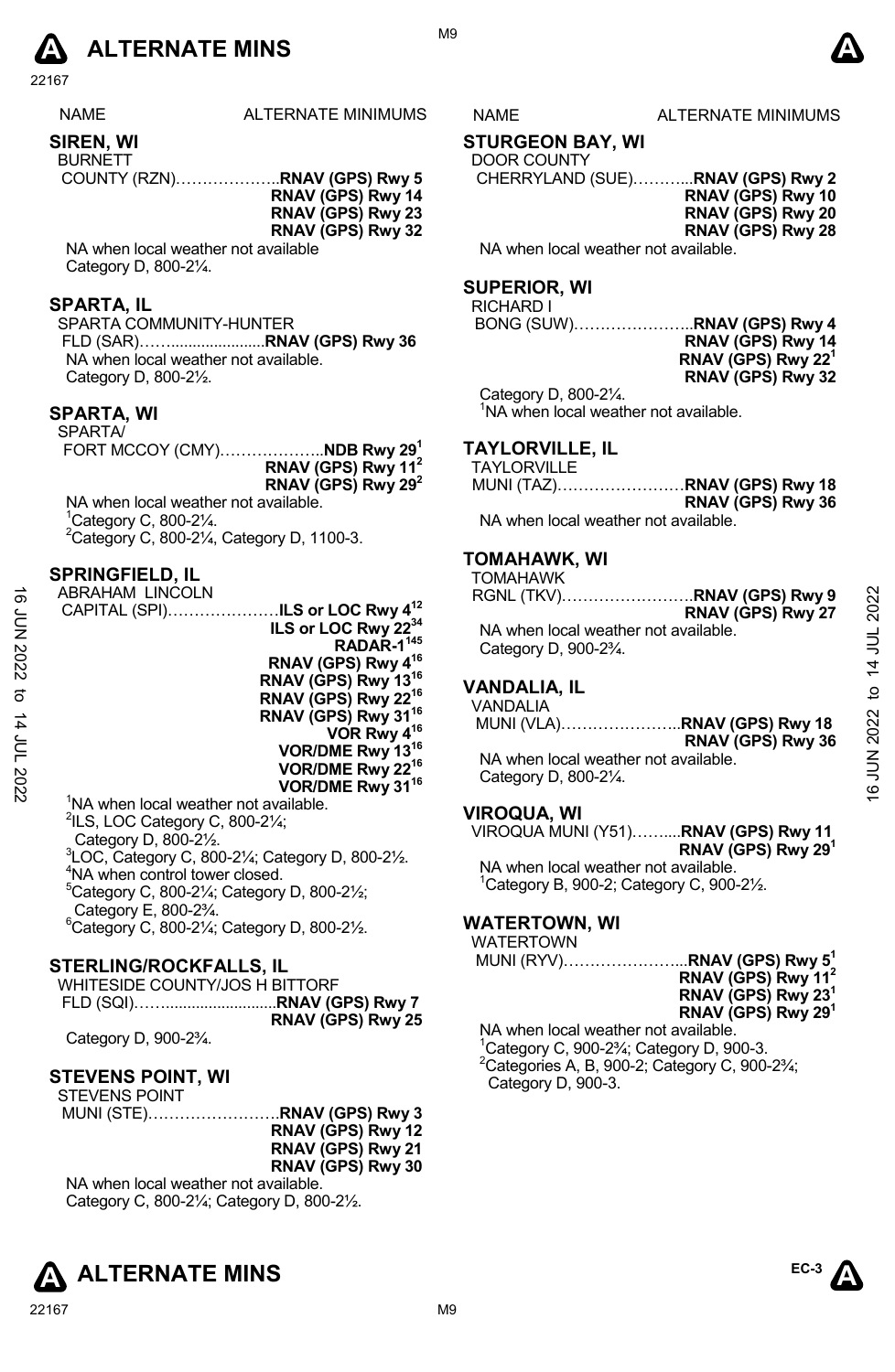

NAME ALTERNATE MINIMUMS NAME ALTERNATE MINIMUMS

# **SIREN, WI**

BURNETT COUNTY (RZN)………………..**RNAV (GPS) Rwy 5** 

**RNAV (GPS) Rwy 14 RNAV (GPS) Rwy 23 RNAV (GPS) Rwy 32** 

NA when local weather not available Category D, 800-2¼.

#### **SPARTA, IL**

SPARTA COMMUNITY-HUNTER FLD (SAR)……......................**RNAV (GPS) Rwy 36**  NA when local weather not available. Category D, 800-2½.

# **SPARTA, WI**

SPARTA/ FORT MCCOY (CMY)………………..**NDB Rwy 291 RNAV (GPS) Rwy 112 RNAV (GPS) Rwy 292** NA when local weather not available. 1 Category C, 800-2¼.

 $2$ Category C, 800-2 $\frac{1}{4}$ , Category D, 1100-3.

#### **SPRINGFIELD, IL**

| ಹೆ       | <b>ABRAHAM LINCOLN</b>                      |                                                 |                 |
|----------|---------------------------------------------|-------------------------------------------------|-----------------|
|          | CAPITAL (SPI)ILS or LOC Rwy 4 <sup>12</sup> | RNAV (GPS) Rwy 27                               | 2022            |
| ξ<br>Σ   | ILS or LOC Rwy 22 <sup>34</sup>             | NA when local weather not available.            |                 |
|          | <b>RADAR-1<sup>145</sup></b>                | Category D, 900-2 <sup>3</sup> / <sub>4</sub> . |                 |
| 2022     | RNAV (GPS) Rwy 4 <sup>16</sup>              |                                                 | <u>न</u>        |
|          | RNAV (GPS) Rwy 13 <sup>16</sup>             | <b>VANDALIA, IL</b>                             |                 |
| ನ        | RNAV (GPS) Rwy 22 <sup>16</sup>             | <b>VANDALIA</b>                                 | ₫               |
| 4        | RNAV (GPS) Rwy 31 <sup>16</sup>             |                                                 |                 |
| $\equiv$ | VOR Rwy 4 <sup>16</sup>                     | RNAV (GPS) Rwy 36                               | <b>JUN 2022</b> |
|          | VOR/DME Rwy 13 <sup>16</sup>                | NA when local weather not available.            |                 |
|          | VOR/DME Rwy 22 <sup>16</sup>                | Category D, 800-21/4.                           |                 |
| 2022     | VOR/DME Rwy 31 <sup>16</sup>                |                                                 | \$              |
|          | 'NA when local weather not available.       | <b>VIDOOLIA MI</b>                              |                 |

 $2$ ILS, LOC Category C, 800-2 $\frac{1}{4}$ ; Category D, 800-2½.  $^{3}$ LOC, Category C, 800-21⁄<sub>4</sub>; Category D, 800-21⁄<sub>2</sub>. <sup>4</sup>NA when control tower closed. 5 Category C, 800-2¼; Category D, 800-2½; Category E, 800-2¾. 6 Category C, 800-2¼; Category D, 800-2½.

# **STERLING/ROCKFALLS, IL**

WHITESIDE COUNTY/JOS H BITTORF FLD (SQI)……..........................**RNAV (GPS) Rwy 7 RNAV (GPS) Rwy 25** 

Category D, 900-2¾.

#### **STEVENS POINT, WI**

| <b>STEVENS POINT</b>                        |                   |
|---------------------------------------------|-------------------|
|                                             |                   |
|                                             | RNAV (GPS) Rwy 12 |
|                                             | RNAV (GPS) Rwy 21 |
|                                             | RNAV (GPS) Rwy 30 |
| NA when local weather not available.        |                   |
| Category C, 800-21/4; Category D, 800-21/2. |                   |

M9

## **STURGEON BAY, WI**

DOOR COUNTY

CHERRYLAND (SUE)………...**RNAV (GPS) Rwy 2 RNAV (GPS) Rwy 10 RNAV (GPS) Rwy 20 RNAV (GPS) Rwy 28** 

NA when local weather not available.

#### **SUPERIOR, WI**

RICHARD I **BONG (SUW)……………** 

| RNAV (GPS) Rwy 4      |
|-----------------------|
| RNAV (GPS) Rwy 14     |
| RNAV (GPS) Rwy 22 $1$ |
| RNAV (GPS) Rwy 32     |

Category D, 800-2¼. <sup>1</sup>NA when local weather not available.

#### **TAYLORVILLE, IL**

**TAYLORVILLE** 

MUNI (TAZ)……………………**RNAV (GPS) Rwy 18 RNAV (GPS) Rwy 36** 

NA when local weather not available.

### **TOMAHAWK, WI**

TOMAHAWK RGNL (TKV)…………………….**RNAV (GPS) Rwy 9 RNAV (GPS) Rwy 27**  NA when local weather not available. Category D, 900-2¾.

# **VANDALIA, IL**

| VANDALIA |                   |
|----------|-------------------|
|          |                   |
|          | RNAV (GPS) Rwy 36 |

# **VIROQUA, WI**

VIROQUA MUNI (Y51)……....**RNAV (GPS) Rwy 11 RNAV (GPS) Rwy 291**  NA when local weather not available. 1 Category B, 900-2; Category C, 900-2½.

# **WATERTOWN, WI**

WATERTOWN

MUNI (RYV)…………………...**RNAV (GPS) Rwy 51 RNAV (GPS) Rwy 112 RNAV (GPS) Rwy 231 RNAV (GPS) Rwy 291**

NA when local weather not available. 1 Category C, 900-2¾; Category D, 900-3.  $2$ Categories A, B, 900-2; Category C, 900-2 $\frac{2}{4}$ ; Category D, 900-3.